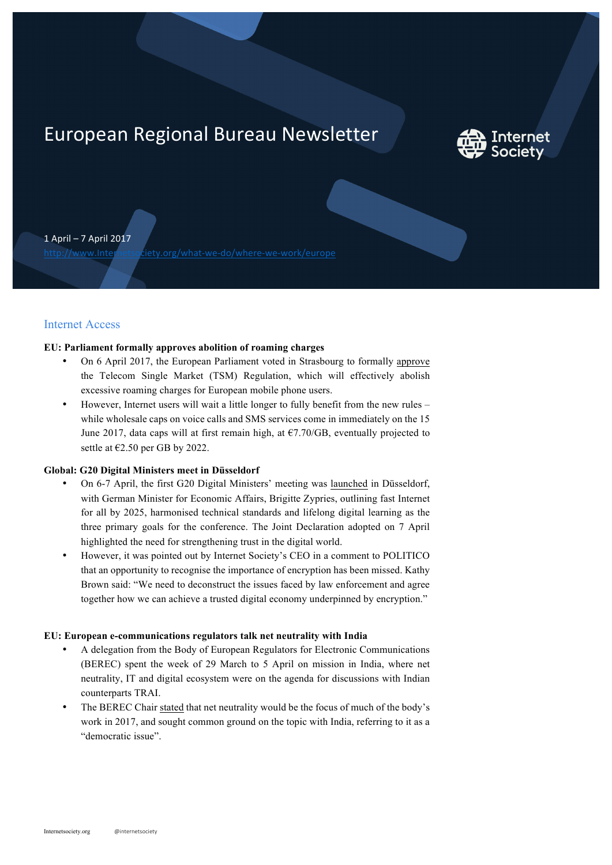# European Regional Bureau Newsletter



1 April – 7 April 2017

http://www.Internetsociety.org/what-we-do/where-we-work/europe

## Internet Access

## **EU: Parliament formally approves abolition of roaming charges**

- On 6 April 2017, the European Parliament voted in Strasbourg to formally approve the Telecom Single Market (TSM) Regulation, which will effectively abolish excessive roaming charges for European mobile phone users.
- However, Internet users will wait a little longer to fully benefit from the new rules while wholesale caps on voice calls and SMS services come in immediately on the 15 June 2017, data caps will at first remain high, at  $\epsilon$ 7.70/GB, eventually projected to settle at €2.50 per GB by 2022.

### **Global: G20 Digital Ministers meet in Düsseldorf**

- On 6-7 April, the first G20 Digital Ministers' meeting was launched in Düsseldorf, with German Minister for Economic Affairs, Brigitte Zypries, outlining fast Internet for all by 2025, harmonised technical standards and lifelong digital learning as the three primary goals for the conference. The Joint Declaration adopted on 7 April highlighted the need for strengthening trust in the digital world.
- However, it was pointed out by Internet Society's CEO in a comment to POLITICO that an opportunity to recognise the importance of encryption has been missed. Kathy Brown said: "We need to deconstruct the issues faced by law enforcement and agree together how we can achieve a trusted digital economy underpinned by encryption."

#### **EU: European e-communications regulators talk net neutrality with India**

- A delegation from the Body of European Regulators for Electronic Communications (BEREC) spent the week of 29 March to 5 April on mission in India, where net neutrality, IT and digital ecosystem were on the agenda for discussions with Indian counterparts TRAI.
- The BEREC Chair stated that net neutrality would be the focus of much of the body's work in 2017, and sought common ground on the topic with India, referring to it as a "democratic issue".